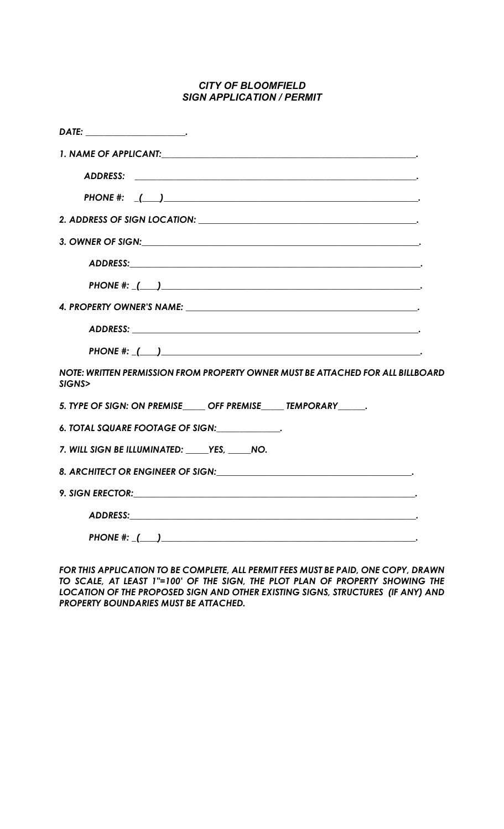## CITY OF BLOOMFIELD SIGN APPLICATION / PERMIT

| 1. NAME OF APPLICANT: And the state of the state of the state of the state of the state of the state of the state of the state of the state of the state of the state of the state of the state of the state of the state of t       |
|--------------------------------------------------------------------------------------------------------------------------------------------------------------------------------------------------------------------------------------|
|                                                                                                                                                                                                                                      |
|                                                                                                                                                                                                                                      |
|                                                                                                                                                                                                                                      |
| 3. OWNER OF SIGN: Same State of Signal Contract of Signal Contract of Signal Contract of Signal Contract of Signal Contract of Signal Contract of Signal Contract of Signal Contract of Signal Contract of Signal Contract of        |
|                                                                                                                                                                                                                                      |
|                                                                                                                                                                                                                                      |
|                                                                                                                                                                                                                                      |
|                                                                                                                                                                                                                                      |
|                                                                                                                                                                                                                                      |
| NOTE: WRITTEN PERMISSION FROM PROPERTY OWNER MUST BE ATTACHED FOR ALL BILLBOARD<br>SIGNS>                                                                                                                                            |
| 5. TYPE OF SIGN: ON PREMISE OFF PREMISE TEMPORARY.                                                                                                                                                                                   |
| 6. TOTAL SQUARE FOOTAGE OF SIGN: ____________.                                                                                                                                                                                       |
| 7. WILL SIGN BE ILLUMINATED: _____YES, _____NO.                                                                                                                                                                                      |
|                                                                                                                                                                                                                                      |
| 9. SIGN ERECTOR: <b>Annual Execution Contract Contract Contract Contract Contract Contract Contract Contract Contract Contract Contract Contract Contract Contract Contract Contract Contract Contract Contract Contract Contrac</b> |
|                                                                                                                                                                                                                                      |
|                                                                                                                                                                                                                                      |

FOR THIS APPLICATION TO BE COMPLETE, ALL PERMIT FEES MUST BE PAID, ONE COPY, DRAWN TO SCALE, AT LEAST 1"=100' OF THE SIGN, THE PLOT PLAN OF PROPERTY SHOWING THE LOCATION OF THE PROPOSED SIGN AND OTHER EXISTING SIGNS, STRUCTURES (IF ANY) AND PROPERTY BOUNDARIES MUST BE ATTACHED.